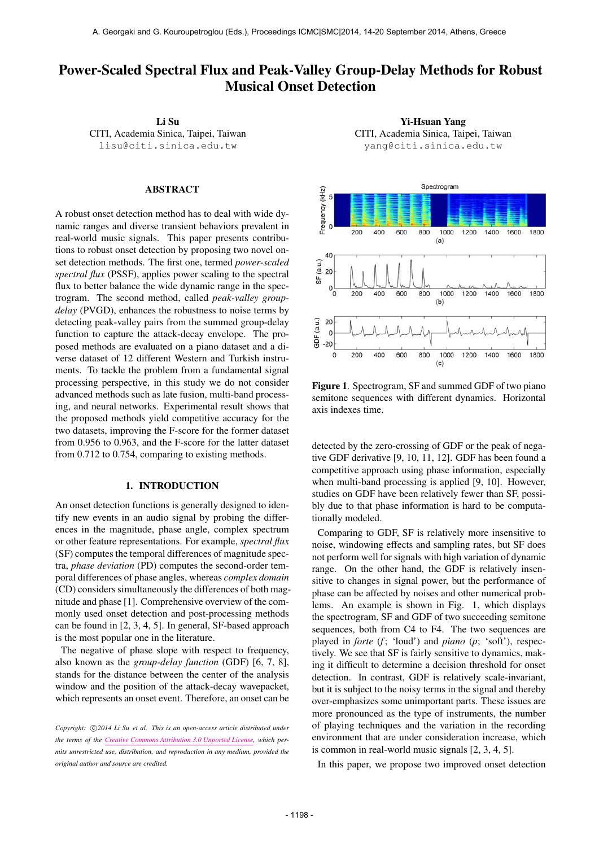# Power-Scaled Spectral Flux and Peak-Valley Group-Delay Methods for Robust Musical Onset Detection

Li Su CITI, Academia Sinica, Taipei, Taiwan [lisu@citi.sinica.edu.tw](mailto:author1@smcnetwork.org)

## ABSTRACT

A robust onset detection method has to deal with wide dynamic ranges and diverse transient behaviors prevalent in real-world music signals. This paper presents contributions to robust onset detection by proposing two novel onset detection methods. The first one, termed *power-scaled spectral flux* (PSSF), applies power scaling to the spectral flux to better balance the wide dynamic range in the spectrogram. The second method, called *peak-valley groupdelay* (PVGD), enhances the robustness to noise terms by detecting peak-valley pairs from the summed group-delay function to capture the attack-decay envelope. The proposed methods are evaluated on a piano dataset and a diverse dataset of 12 different Western and Turkish instruments. To tackle the problem from a fundamental signal processing perspective, in this study we do not consider advanced methods such as late fusion, multi-band processing, and neural networks. Experimental result shows that the proposed methods yield competitive accuracy for the two datasets, improving the F-score for the former dataset from 0.956 to 0.963, and the F-score for the latter dataset from 0.712 to 0.754, comparing to existing methods.

# 1. INTRODUCTION

An onset detection functions is generally designed to identify new events in an audio signal by probing the differences in the magnitude, phase angle, complex spectrum or other feature representations. For example, *spectral flux* (SF) computes the temporal differences of magnitude spectra, *phase deviation* (PD) computes the second-order temporal differences of phase angles, whereas *complex domain* (CD) considers simultaneously the differences of both magnitude and phase [1]. Comprehensive overview of the commonly used onset detection and post-processing methods can be found in [2, 3, 4, 5]. In general, SF-based approach is the most popular one in the literature.

The negative of phase slope with respect to frequency, also known as the *group-delay function* (GDF) [6, 7, 8], stands for the distance between the center of the analysis window and the position of the attack-decay wavepacket, which represents an onset event. Therefore, an onset can be

Yi-Hsuan Yang CITI, Academia Sinica, Taipei, Taiwan [yang@citi.sinica.edu.tw](mailto:author2@smcnetwork.org)



Figure 1. Spectrogram, SF and summed GDF of two piano semitone sequences with different dynamics. Horizontal axis indexes time.

detected by the zero-crossing of GDF or the peak of negative GDF derivative [9, 10, 11, 12]. GDF has been found a competitive approach using phase information, especially when multi-band processing is applied [9, 10]. However, studies on GDF have been relatively fewer than SF, possibly due to that phase information is hard to be computationally modeled.

Comparing to GDF, SF is relatively more insensitive to noise, windowing effects and sampling rates, but SF does not perform well for signals with high variation of dynamic range. On the other hand, the GDF is relatively insensitive to changes in signal power, but the performance of phase can be affected by noises and other numerical problems. An example is shown in Fig. 1, which displays the spectrogram, SF and GDF of two succeeding semitone sequences, both from C4 to F4. The two sequences are played in *forte* (*f* ; 'loud') and *piano* (*p*; 'soft'), respectively. We see that SF is fairly sensitive to dynamics, making it difficult to determine a decision threshold for onset detection. In contrast, GDF is relatively scale-invariant, but it is subject to the noisy terms in the signal and thereby over-emphasizes some unimportant parts. These issues are more pronounced as the type of instruments, the number of playing techniques and the variation in the recording environment that are under consideration increase, which is common in real-world music signals [2, 3, 4, 5].

In this paper, we propose two improved onset detection

Copyright:  $\bigcirc$ 2014 Li Su et al. This is an open-access article distributed under *the terms of the [Creative Commons Attribution 3.0 Unported License,](http://creativecommons.org/licenses/by/3.0/) which permits unrestricted use, distribution, and reproduction in any medium, provided the original author and source are credited.*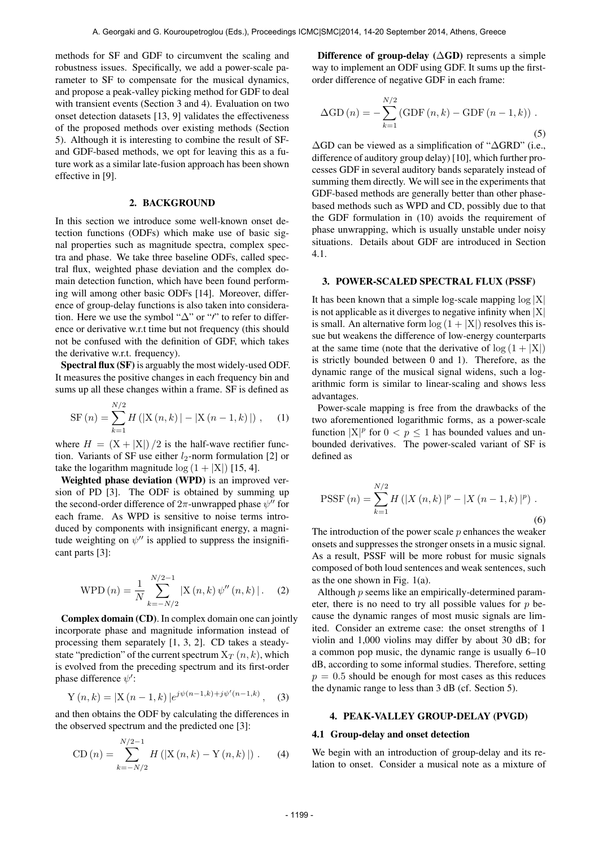methods for SF and GDF to circumvent the scaling and robustness issues. Specifically, we add a power-scale parameter to SF to compensate for the musical dynamics, and propose a peak-valley picking method for GDF to deal with transient events (Section 3 and 4). Evaluation on two onset detection datasets [13, 9] validates the effectiveness of the proposed methods over existing methods (Section 5). Although it is interesting to combine the result of SFand GDF-based methods, we opt for leaving this as a future work as a similar late-fusion approach has been shown effective in [9].

## 2. BACKGROUND

In this section we introduce some well-known onset detection functions (ODFs) which make use of basic signal properties such as magnitude spectra, complex spectra and phase. We take three baseline ODFs, called spectral flux, weighted phase deviation and the complex domain detection function, which have been found performing will among other basic ODFs [14]. Moreover, difference of group-delay functions is also taken into consideration. Here we use the symbol " $\Delta$ " or "'' to refer to difference or derivative w.r.t time but not frequency (this should not be confused with the definition of GDF, which takes the derivative w.r.t. frequency).

Spectral flux (SF) is arguably the most widely-used ODF. It measures the positive changes in each frequency bin and sums up all these changes within a frame. SF is defined as

SF (n) = 
$$
\sum_{k=1}^{N/2} H(|X(n, k)| - |X(n - 1, k)|),
$$
 (1)

where  $H = (X + |X|)/2$  is the half-wave rectifier function. Variants of SF use either  $l_2$ -norm formulation [2] or take the logarithm magnitude  $log(1 + |X|)$  [15, 4].

Weighted phase deviation (WPD) is an improved version of PD [3]. The ODF is obtained by summing up the second-order difference of  $2\pi$ -unwrapped phase  $\psi''$  for each frame. As WPD is sensitive to noise terms introduced by components with insignificant energy, a magnitude weighting on  $\psi''$  is applied to suppress the insignificant parts [3]:

WPD (n) = 
$$
\frac{1}{N} \sum_{k=-N/2}^{N/2-1} |X(n,k) \psi''(n,k)|
$$
. (2)

Complex domain (CD). In complex domain one can jointly incorporate phase and magnitude information instead of processing them separately [1, 3, 2]. CD takes a steadystate "prediction" of the current spectrum  $X_T(n, k)$ , which is evolved from the preceding spectrum and its first-order phase difference  $\psi'$ :

$$
Y(n,k) = |X(n-1,k)|e^{j\psi(n-1,k)+j\psi'(n-1,k)}, \quad (3)
$$

and then obtains the ODF by calculating the differences in the observed spectrum and the predicted one [3]:

CD (n) = 
$$
\sum_{k=-N/2}^{N/2-1} H(|X(n, k) - Y(n, k)|)
$$
. (4)

Difference of group-delay  $(∆GD)$  represents a simple way to implement an ODF using GDF. It sums up the firstorder difference of negative GDF in each frame:

$$
\Delta GD (n) = - \sum_{k=1}^{N/2} (\text{GDF} (n, k) - \text{GDF} (n - 1, k)) .
$$
\n(5)

∆GD can be viewed as a simplification of "∆GRD" (i.e., difference of auditory group delay) [10], which further processes GDF in several auditory bands separately instead of summing them directly. We will see in the experiments that GDF-based methods are generally better than other phasebased methods such as WPD and CD, possibly due to that the GDF formulation in (10) avoids the requirement of phase unwrapping, which is usually unstable under noisy situations. Details about GDF are introduced in Section 4.1.

#### 3. POWER-SCALED SPECTRAL FLUX (PSSF)

It has been known that a simple log-scale mapping  $log |X|$ is not applicable as it diverges to negative infinity when  $|X|$ is small. An alternative form  $log(1 + |X|)$  resolves this issue but weakens the difference of low-energy counterparts at the same time (note that the derivative of  $log(1 + |X|)$ ) is strictly bounded between 0 and 1). Therefore, as the dynamic range of the musical signal widens, such a logarithmic form is similar to linear-scaling and shows less advantages.

Power-scale mapping is free from the drawbacks of the two aforementioned logarithmic forms, as a power-scale function  $|X|^p$  for  $0 < p \le 1$  has bounded values and unbounded derivatives. The power-scaled variant of SF is defined as

PSSF (n) = 
$$
\sum_{k=1}^{N/2} H(|X(n, k)|^p - |X(n-1, k)|^p)
$$
 (6)

The introduction of the power scale  $p$  enhances the weaker onsets and suppresses the stronger onsets in a music signal. As a result, PSSF will be more robust for music signals composed of both loud sentences and weak sentences, such as the one shown in Fig. 1(a).

Although p seems like an empirically-determined parameter, there is no need to try all possible values for  $p$  because the dynamic ranges of most music signals are limited. Consider an extreme case: the onset strengths of 1 violin and 1,000 violins may differ by about 30 dB; for a common pop music, the dynamic range is usually 6–10 dB, according to some informal studies. Therefore, setting  $p = 0.5$  should be enough for most cases as this reduces the dynamic range to less than 3 dB (cf. Section 5).

#### 4. PEAK-VALLEY GROUP-DELAY (PVGD)

#### 4.1 Group-delay and onset detection

We begin with an introduction of group-delay and its relation to onset. Consider a musical note as a mixture of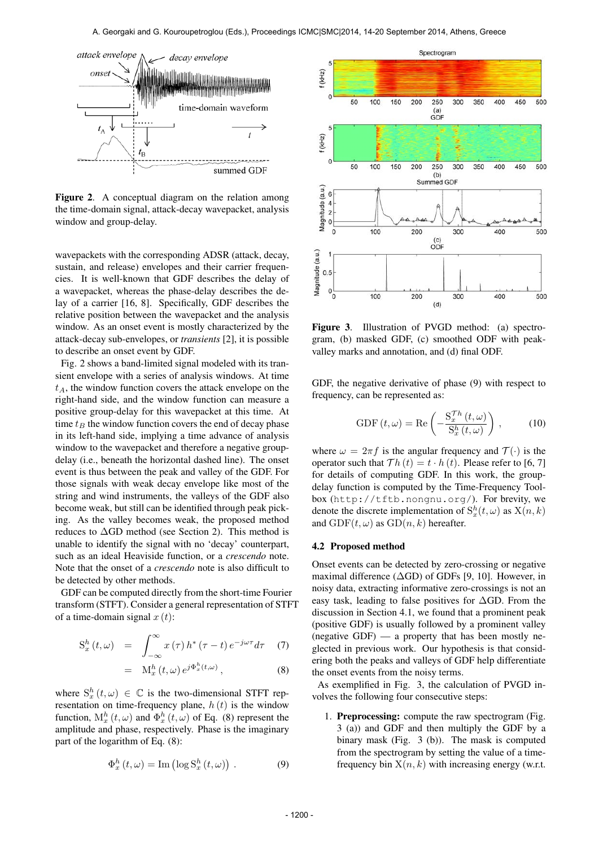

Figure 2. A conceptual diagram on the relation among the time-domain signal, attack-decay wavepacket, analysis window and group-delay.

wavepackets with the corresponding ADSR (attack, decay, sustain, and release) envelopes and their carrier frequencies. It is well-known that GDF describes the delay of a wavepacket, whereas the phase-delay describes the delay of a carrier [16, 8]. Specifically, GDF describes the relative position between the wavepacket and the analysis window. As an onset event is mostly characterized by the attack-decay sub-envelopes, or *transients* [2], it is possible to describe an onset event by GDF.

Fig. 2 shows a band-limited signal modeled with its transient envelope with a series of analysis windows. At time  $t_A$ , the window function covers the attack envelope on the right-hand side, and the window function can measure a positive group-delay for this wavepacket at this time. At time  $t_B$  the window function covers the end of decay phase in its left-hand side, implying a time advance of analysis window to the wavepacket and therefore a negative groupdelay (i.e., beneath the horizontal dashed line). The onset event is thus between the peak and valley of the GDF. For those signals with weak decay envelope like most of the string and wind instruments, the valleys of the GDF also become weak, but still can be identified through peak picking. As the valley becomes weak, the proposed method reduces to  $\Delta$ GD method (see Section 2). This method is unable to identify the signal with no 'decay' counterpart, such as an ideal Heaviside function, or a *crescendo* note. Note that the onset of a *crescendo* note is also difficult to be detected by other methods.

GDF can be computed directly from the short-time Fourier transform (STFT). Consider a general representation of STFT of a time-domain signal  $x(t)$ :

$$
S_x^h(t,\omega) = \int_{-\infty}^{\infty} x(\tau) h^*(\tau - t) e^{-j\omega \tau} d\tau \quad (7)
$$

$$
= \quad M_x^h(t,\omega) \, e^{j\Phi_x^h(t,\omega)} \,, \tag{8}
$$

where  $S_x^h(t,\omega) \in \mathbb{C}$  is the two-dimensional STFT representation on time-frequency plane,  $h(t)$  is the window function,  $M_x^h(t, \omega)$  and  $\Phi_x^h(t, \omega)$  of Eq. (8) represent the amplitude and phase, respectively. Phase is the imaginary part of the logarithm of Eq. (8):

$$
\Phi_x^h(t,\omega) = \text{Im}(\log S_x^h(t,\omega)).
$$
\n(9)



Figure 3. Illustration of PVGD method: (a) spectrogram, (b) masked GDF, (c) smoothed ODF with peakvalley marks and annotation, and (d) final ODF.

GDF, the negative derivative of phase (9) with respect to frequency, can be represented as:

GDF 
$$
(t, \omega)
$$
 = Re  $\left(-\frac{\mathcal{S}_x^{Th}(t, \omega)}{\mathcal{S}_x^h(t, \omega)}\right)$ , (10)

where  $\omega = 2\pi f$  is the angular frequency and  $\mathcal{T}(\cdot)$  is the operator such that  $Th(t) = t \cdot h(t)$ . Please refer to [6, 7] for details of computing GDF. In this work, the groupdelay function is computed by the Time-Frequency Toolbox (<http://tftb.nongnu.org/>). For brevity, we denote the discrete implementation of  $S_x^h(t, \omega)$  as  $X(n, k)$ and  $GDF(t, \omega)$  as  $GD(n, k)$  hereafter.

#### 4.2 Proposed method

Onset events can be detected by zero-crossing or negative maximal difference (∆GD) of GDFs [9, 10]. However, in noisy data, extracting informative zero-crossings is not an easy task, leading to false positives for ∆GD. From the discussion in Section 4.1, we found that a prominent peak (positive GDF) is usually followed by a prominent valley (negative  $GDF$ ) — a property that has been mostly neglected in previous work. Our hypothesis is that considering both the peaks and valleys of GDF help differentiate the onset events from the noisy terms.

As exemplified in Fig. 3, the calculation of PVGD involves the following four consecutive steps:

1. Preprocessing: compute the raw spectrogram (Fig. 3 (a)) and GDF and then multiply the GDF by a binary mask (Fig. 3 (b)). The mask is computed from the spectrogram by setting the value of a timefrequency bin  $X(n, k)$  with increasing energy (w.r.t.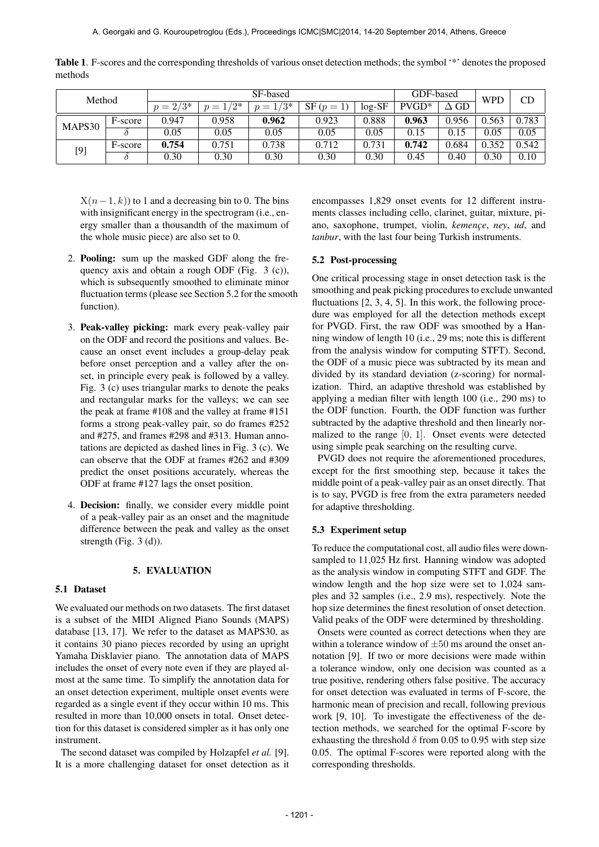| Method |         | SF-based    |             |         |                          |          | GDF-based |             | <b>WPD</b> | CD    |
|--------|---------|-------------|-------------|---------|--------------------------|----------|-----------|-------------|------------|-------|
|        |         | $p = 2/3^*$ | $p = 1/2^*$ | $1/3^*$ | $SF(p =$<br><sup>1</sup> | $log-SF$ | $PVGD*$   | $\Delta$ GD |            |       |
| MAPS30 | F-score | 0.947       | 0.958       | 0.962   | 0.923                    | 0.888    | 0.963     | 0.956       | 0.563      | 0.783 |
|        |         | 0.05        | 0.05        | 0.05    | 0.05                     | 0.05     | 0.15      | 0.15        | 0.05       | 0.05  |
| $[9]$  | F-score | 0.754       | 0.751       | 0.738   | 0.712                    | 0.731    | 0.742     | 0.684       | 0.352      | 0.542 |
|        |         | 0.30        | 0.30        | 0.30    | 0.30                     | 0.30     | 0.45      | 0.40        | 0.30       | 0.10  |

Table 1. F-scores and the corresponding thresholds of various onset detection methods; the symbol '\*' denotes the proposed methods

 $X(n-1, k)$  to 1 and a decreasing bin to 0. The bins with insignificant energy in the spectrogram (i.e., energy smaller than a thousandth of the maximum of the whole music piece) are also set to 0.

- 2. Pooling: sum up the masked GDF along the frequency axis and obtain a rough ODF (Fig. 3 (c)), which is subsequently smoothed to eliminate minor fluctuation terms (please see Section 5.2 for the smooth function).
- 3. Peak-valley picking: mark every peak-valley pair on the ODF and record the positions and values. Because an onset event includes a group-delay peak before onset perception and a valley after the onset, in principle every peak is followed by a valley. Fig. 3 (c) uses triangular marks to denote the peaks and rectangular marks for the valleys; we can see the peak at frame #108 and the valley at frame #151 forms a strong peak-valley pair, so do frames #252 and #275, and frames #298 and #313. Human annotations are depicted as dashed lines in Fig. 3 (c). We can observe that the ODF at frames #262 and #309 predict the onset positions accurately, whereas the ODF at frame #127 lags the onset position.
- 4. Decision: finally, we consider every middle point of a peak-valley pair as an onset and the magnitude difference between the peak and valley as the onset strength (Fig. 3 (d)).

# 5. EVALUATION

## 5.1 Dataset

We evaluated our methods on two datasets. The first dataset is a subset of the MIDI Aligned Piano Sounds (MAPS) database [13, 17]. We refer to the dataset as MAPS30, as it contains 30 piano pieces recorded by using an upright Yamaha Disklavier piano. The annotation data of MAPS includes the onset of every note even if they are played almost at the same time. To simplify the annotation data for an onset detection experiment, multiple onset events were regarded as a single event if they occur within 10 ms. This resulted in more than 10,000 onsets in total. Onset detection for this dataset is considered simpler as it has only one instrument.

The second dataset was compiled by Holzapfel *et al.* [9]. It is a more challenging dataset for onset detection as it encompasses 1,829 onset events for 12 different instruments classes including cello, clarinet, guitar, mixture, piano, saxophone, trumpet, violin, *kemence*, *ney*, *ud*, and *tanbur*, with the last four being Turkish instruments.

## 5.2 Post-processing

One critical processing stage in onset detection task is the smoothing and peak picking procedures to exclude unwanted fluctuations [2, 3, 4, 5]. In this work, the following procedure was employed for all the detection methods except for PVGD. First, the raw ODF was smoothed by a Hanning window of length 10 (i.e., 29 ms; note this is different from the analysis window for computing STFT). Second, the ODF of a music piece was subtracted by its mean and divided by its standard deviation (z-scoring) for normalization. Third, an adaptive threshold was established by applying a median filter with length 100 (i.e., 290 ms) to the ODF function. Fourth, the ODF function was further subtracted by the adaptive threshold and then linearly normalized to the range [0, 1]. Onset events were detected using simple peak searching on the resulting curve.

PVGD does not require the aforementioned procedures, except for the first smoothing step, because it takes the middle point of a peak-valley pair as an onset directly. That is to say, PVGD is free from the extra parameters needed for adaptive thresholding.

## 5.3 Experiment setup

To reduce the computational cost, all audio files were downsampled to 11,025 Hz first. Hanning window was adopted as the analysis window in computing STFT and GDF. The window length and the hop size were set to 1,024 samples and 32 samples (i.e., 2.9 ms), respectively. Note the hop size determines the finest resolution of onset detection. Valid peaks of the ODF were determined by thresholding.

Onsets were counted as correct detections when they are within a tolerance window of  $\pm 50$  ms around the onset annotation [9]. If two or more decisions were made within a tolerance window, only one decision was counted as a true positive, rendering others false positive. The accuracy for onset detection was evaluated in terms of F-score, the harmonic mean of precision and recall, following previous work [9, 10]. To investigate the effectiveness of the detection methods, we searched for the optimal F-score by exhausting the threshold  $\delta$  from 0.05 to 0.95 with step size 0.05. The optimal F-scores were reported along with the corresponding thresholds.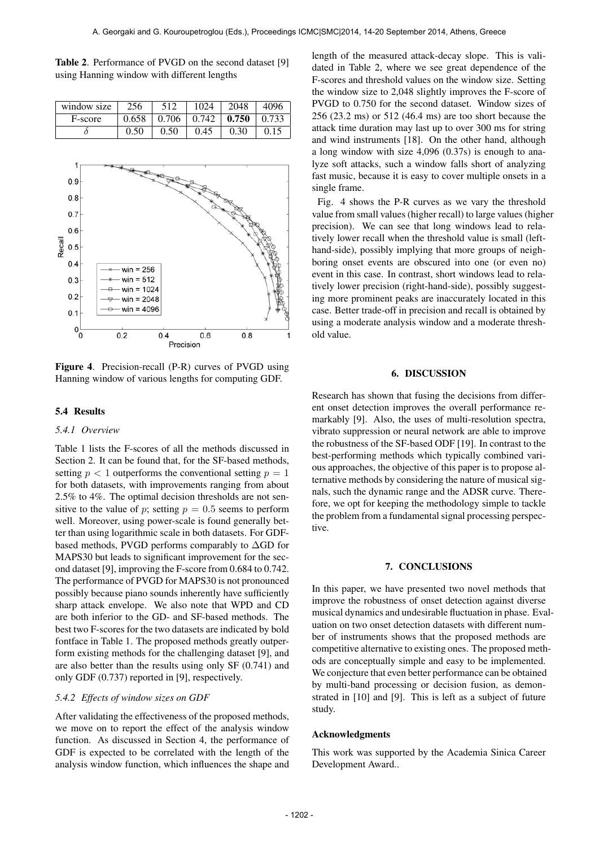Table 2. Performance of PVGD on the second dataset [9] using Hanning window with different lengths

| window size | 256  | 512  | 1024                                    | 2048 | 4096 |
|-------------|------|------|-----------------------------------------|------|------|
| F-score     |      |      | $0.658$   0.706   0.742   0.750   0.733 |      |      |
|             | 0.50 | 0.50 | 0.45                                    | 0.30 | 0.15 |



Figure 4. Precision-recall (P-R) curves of PVGD using Hanning window of various lengths for computing GDF.

#### 5.4 Results

#### *5.4.1 Overview*

Table 1 lists the F-scores of all the methods discussed in Section 2. It can be found that, for the SF-based methods, setting  $p < 1$  outperforms the conventional setting  $p = 1$ for both datasets, with improvements ranging from about 2.5% to 4%. The optimal decision thresholds are not sensitive to the value of p; setting  $p = 0.5$  seems to perform well. Moreover, using power-scale is found generally better than using logarithmic scale in both datasets. For GDFbased methods, PVGD performs comparably to ∆GD for MAPS30 but leads to significant improvement for the second dataset [9], improving the F-score from 0.684 to 0.742. The performance of PVGD for MAPS30 is not pronounced possibly because piano sounds inherently have sufficiently sharp attack envelope. We also note that WPD and CD are both inferior to the GD- and SF-based methods. The best two F-scores for the two datasets are indicated by bold fontface in Table 1. The proposed methods greatly outperform existing methods for the challenging dataset [9], and are also better than the results using only SF (0.741) and only GDF (0.737) reported in [9], respectively.

#### *5.4.2 Effects of window sizes on GDF*

After validating the effectiveness of the proposed methods, we move on to report the effect of the analysis window function. As discussed in Section 4, the performance of GDF is expected to be correlated with the length of the analysis window function, which influences the shape and length of the measured attack-decay slope. This is validated in Table 2, where we see great dependence of the F-scores and threshold values on the window size. Setting the window size to 2,048 slightly improves the F-score of PVGD to 0.750 for the second dataset. Window sizes of 256 (23.2 ms) or 512 (46.4 ms) are too short because the attack time duration may last up to over 300 ms for string and wind instruments [18]. On the other hand, although a long window with size 4,096 (0.37s) is enough to analyze soft attacks, such a window falls short of analyzing fast music, because it is easy to cover multiple onsets in a single frame.

Fig. 4 shows the P-R curves as we vary the threshold value from small values (higher recall) to large values (higher precision). We can see that long windows lead to relatively lower recall when the threshold value is small (lefthand-side), possibly implying that more groups of neighboring onset events are obscured into one (or even no) event in this case. In contrast, short windows lead to relatively lower precision (right-hand-side), possibly suggesting more prominent peaks are inaccurately located in this case. Better trade-off in precision and recall is obtained by using a moderate analysis window and a moderate threshold value.

#### 6. DISCUSSION

Research has shown that fusing the decisions from different onset detection improves the overall performance remarkably [9]. Also, the uses of multi-resolution spectra, vibrato suppression or neural network are able to improve the robustness of the SF-based ODF [19]. In contrast to the best-performing methods which typically combined various approaches, the objective of this paper is to propose alternative methods by considering the nature of musical signals, such the dynamic range and the ADSR curve. Therefore, we opt for keeping the methodology simple to tackle the problem from a fundamental signal processing perspective.

#### 7. CONCLUSIONS

In this paper, we have presented two novel methods that improve the robustness of onset detection against diverse musical dynamics and undesirable fluctuation in phase. Evaluation on two onset detection datasets with different number of instruments shows that the proposed methods are competitive alternative to existing ones. The proposed methods are conceptually simple and easy to be implemented. We conjecture that even better performance can be obtained by multi-band processing or decision fusion, as demonstrated in [10] and [9]. This is left as a subject of future study.

#### Acknowledgments

This work was supported by the Academia Sinica Career Development Award..